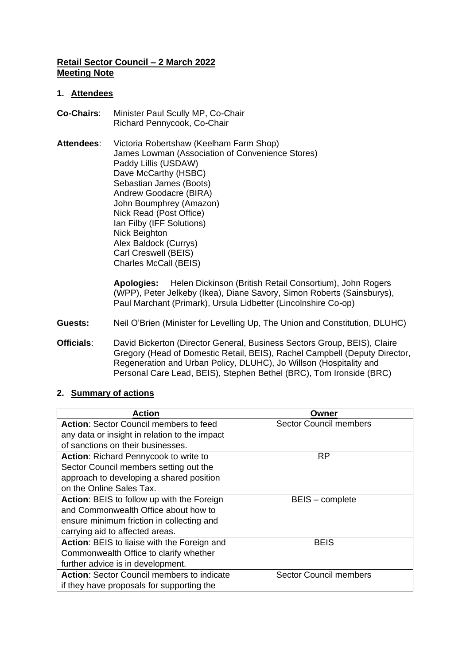## **Retail Sector Council – 2 March 2022 Meeting Note**

#### **1. Attendees**

- **Co-Chairs**: Minister Paul Scully MP, Co-Chair Richard Pennycook, Co-Chair
- **Attendees**: Victoria Robertshaw (Keelham Farm Shop) James Lowman (Association of Convenience Stores) Paddy Lillis (USDAW) Dave McCarthy (HSBC) Sebastian James (Boots) Andrew Goodacre (BIRA) John Boumphrey (Amazon) Nick Read (Post Office) Ian Filby (IFF Solutions) Nick Beighton Alex Baldock (Currys) Carl Creswell (BEIS) Charles McCall (BEIS)

**Apologies:** Helen Dickinson (British Retail Consortium), John Rogers (WPP), Peter Jelkeby (Ikea), Diane Savory, Simon Roberts (Sainsburys), Paul Marchant (Primark), Ursula Lidbetter (Lincolnshire Co-op)

- **Guests:** Neil O'Brien (Minister for Levelling Up, The Union and Constitution, DLUHC)
- **Officials**: David Bickerton (Director General, Business Sectors Group, BEIS), Claire Gregory (Head of Domestic Retail, BEIS), Rachel Campbell (Deputy Director, Regeneration and Urban Policy, DLUHC), Jo Willson (Hospitality and Personal Care Lead, BEIS), Stephen Bethel (BRC), Tom Ironside (BRC)

| <b>Action</b>                                     | Owner                         |
|---------------------------------------------------|-------------------------------|
| <b>Action: Sector Council members to feed</b>     | <b>Sector Council members</b> |
| any data or insight in relation to the impact     |                               |
| of sanctions on their businesses.                 |                               |
| <b>Action:</b> Richard Pennycook to write to      | <b>RP</b>                     |
| Sector Council members setting out the            |                               |
| approach to developing a shared position          |                               |
| on the Online Sales Tax.                          |                               |
| Action: BEIS to follow up with the Foreign        | BEIS - complete               |
| and Commonwealth Office about how to              |                               |
| ensure minimum friction in collecting and         |                               |
| carrying aid to affected areas.                   |                               |
| Action: BEIS to liaise with the Foreign and       | <b>BEIS</b>                   |
| Commonwealth Office to clarify whether            |                               |
| further advice is in development.                 |                               |
| <b>Action:</b> Sector Council members to indicate | <b>Sector Council members</b> |
| if they have proposals for supporting the         |                               |

## **2. Summary of actions**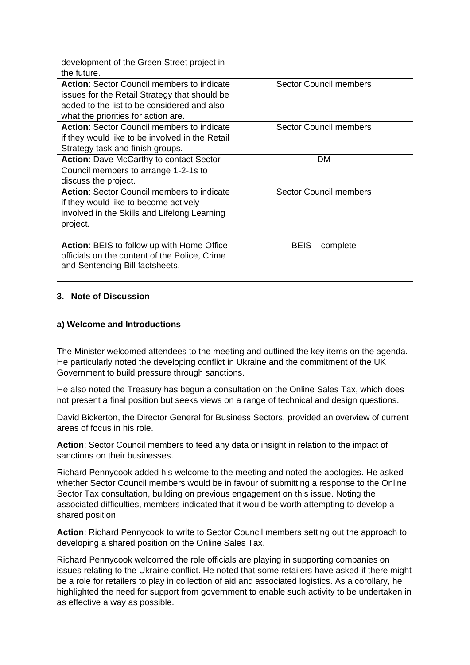| development of the Green Street project in        |                               |
|---------------------------------------------------|-------------------------------|
| the future.                                       |                               |
| <b>Action:</b> Sector Council members to indicate | Sector Council members        |
| issues for the Retail Strategy that should be     |                               |
| added to the list to be considered and also       |                               |
| what the priorities for action are.               |                               |
| <b>Action:</b> Sector Council members to indicate | Sector Council members        |
| if they would like to be involved in the Retail   |                               |
| Strategy task and finish groups.                  |                               |
| <b>Action: Dave McCarthy to contact Sector</b>    | <b>DM</b>                     |
| Council members to arrange 1-2-1s to              |                               |
| discuss the project.                              |                               |
| <b>Action:</b> Sector Council members to indicate | <b>Sector Council members</b> |
| if they would like to become actively             |                               |
| involved in the Skills and Lifelong Learning      |                               |
| project.                                          |                               |
|                                                   |                               |
| <b>Action: BEIS to follow up with Home Office</b> | BEIS - complete               |
| officials on the content of the Police, Crime     |                               |
| and Sentencing Bill factsheets.                   |                               |
|                                                   |                               |

# **3. Note of Discussion**

## **a) Welcome and Introductions**

The Minister welcomed attendees to the meeting and outlined the key items on the agenda. He particularly noted the developing conflict in Ukraine and the commitment of the UK Government to build pressure through sanctions.

He also noted the Treasury has begun a consultation on the Online Sales Tax, which does not present a final position but seeks views on a range of technical and design questions.

David Bickerton, the Director General for Business Sectors, provided an overview of current areas of focus in his role.

**Action**: Sector Council members to feed any data or insight in relation to the impact of sanctions on their businesses.

Richard Pennycook added his welcome to the meeting and noted the apologies. He asked whether Sector Council members would be in favour of submitting a response to the Online Sector Tax consultation, building on previous engagement on this issue. Noting the associated difficulties, members indicated that it would be worth attempting to develop a shared position.

**Action**: Richard Pennycook to write to Sector Council members setting out the approach to developing a shared position on the Online Sales Tax.

Richard Pennycook welcomed the role officials are playing in supporting companies on issues relating to the Ukraine conflict. He noted that some retailers have asked if there might be a role for retailers to play in collection of aid and associated logistics. As a corollary, he highlighted the need for support from government to enable such activity to be undertaken in as effective a way as possible.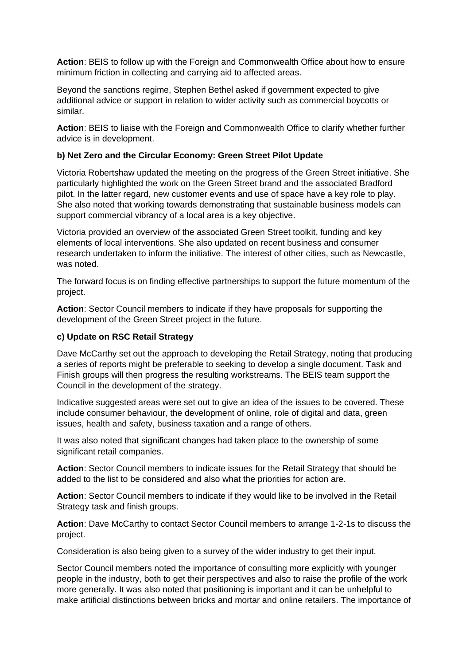**Action**: BEIS to follow up with the Foreign and Commonwealth Office about how to ensure minimum friction in collecting and carrying aid to affected areas.

Beyond the sanctions regime, Stephen Bethel asked if government expected to give additional advice or support in relation to wider activity such as commercial boycotts or similar.

**Action**: BEIS to liaise with the Foreign and Commonwealth Office to clarify whether further advice is in development.

## **b) Net Zero and the Circular Economy: Green Street Pilot Update**

Victoria Robertshaw updated the meeting on the progress of the Green Street initiative. She particularly highlighted the work on the Green Street brand and the associated Bradford pilot. In the latter regard, new customer events and use of space have a key role to play. She also noted that working towards demonstrating that sustainable business models can support commercial vibrancy of a local area is a key objective.

Victoria provided an overview of the associated Green Street toolkit, funding and key elements of local interventions. She also updated on recent business and consumer research undertaken to inform the initiative. The interest of other cities, such as Newcastle, was noted.

The forward focus is on finding effective partnerships to support the future momentum of the project.

**Action**: Sector Council members to indicate if they have proposals for supporting the development of the Green Street project in the future.

#### **c) Update on RSC Retail Strategy**

Dave McCarthy set out the approach to developing the Retail Strategy, noting that producing a series of reports might be preferable to seeking to develop a single document. Task and Finish groups will then progress the resulting workstreams. The BEIS team support the Council in the development of the strategy.

Indicative suggested areas were set out to give an idea of the issues to be covered. These include consumer behaviour, the development of online, role of digital and data, green issues, health and safety, business taxation and a range of others.

It was also noted that significant changes had taken place to the ownership of some significant retail companies.

**Action**: Sector Council members to indicate issues for the Retail Strategy that should be added to the list to be considered and also what the priorities for action are.

**Action**: Sector Council members to indicate if they would like to be involved in the Retail Strategy task and finish groups.

**Action**: Dave McCarthy to contact Sector Council members to arrange 1-2-1s to discuss the project.

Consideration is also being given to a survey of the wider industry to get their input.

Sector Council members noted the importance of consulting more explicitly with younger people in the industry, both to get their perspectives and also to raise the profile of the work more generally. It was also noted that positioning is important and it can be unhelpful to make artificial distinctions between bricks and mortar and online retailers. The importance of